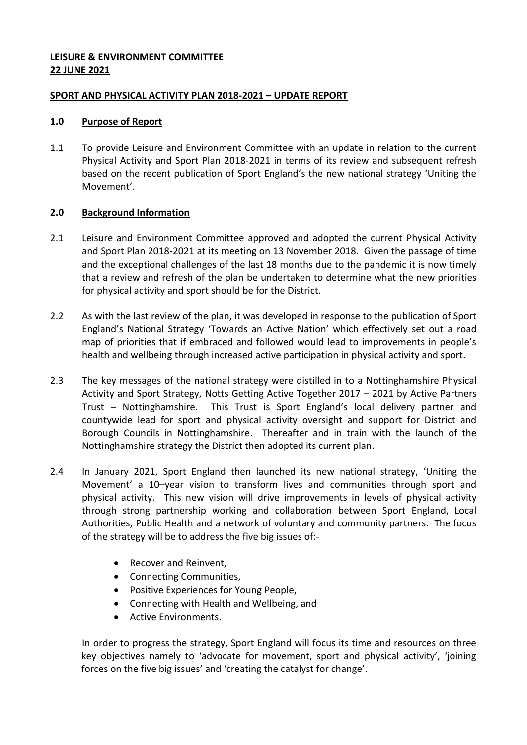# **LEISURE & ENVIRONMENT COMMITTEE 22 JUNE 2021**

# **SPORT AND PHYSICAL ACTIVITY PLAN 2018-2021 – UPDATE REPORT**

#### **1.0 Purpose of Report**

1.1 To provide Leisure and Environment Committee with an update in relation to the current Physical Activity and Sport Plan 2018-2021 in terms of its review and subsequent refresh based on the recent publication of Sport England's the new national strategy 'Uniting the Movement'.

# **2.0 Background Information**

- 2.1 Leisure and Environment Committee approved and adopted the current Physical Activity and Sport Plan 2018-2021 at its meeting on 13 November 2018. Given the passage of time and the exceptional challenges of the last 18 months due to the pandemic it is now timely that a review and refresh of the plan be undertaken to determine what the new priorities for physical activity and sport should be for the District.
- 2.2 As with the last review of the plan, it was developed in response to the publication of Sport England's National Strategy 'Towards an Active Nation' which effectively set out a road map of priorities that if embraced and followed would lead to improvements in people's health and wellbeing through increased active participation in physical activity and sport.
- 2.3 The key messages of the national strategy were distilled in to a Nottinghamshire Physical Activity and Sport Strategy, Notts Getting Active Together 2017 – 2021 by Active Partners Trust – Nottinghamshire. This Trust is Sport England's local delivery partner and countywide lead for sport and physical activity oversight and support for District and Borough Councils in Nottinghamshire. Thereafter and in train with the launch of the Nottinghamshire strategy the District then adopted its current plan.
- 2.4 In January 2021, Sport England then launched its new national strategy, 'Uniting the Movement' a 10–year vision to transform lives and communities through sport and physical activity. This new vision will drive improvements in levels of physical activity through strong partnership working and collaboration between Sport England, Local Authorities, Public Health and a network of voluntary and community partners. The focus of the strategy will be to address the five big issues of:-
	- Recover and Reinvent,
	- Connecting Communities,
	- Positive Experiences for Young People,
	- Connecting with Health and Wellbeing, and
	- **Active Environments.**

In order to progress the strategy, Sport England will focus its time and resources on three key objectives namely to 'advocate for movement, sport and physical activity', 'joining forces on the five big issues' and 'creating the catalyst for change'.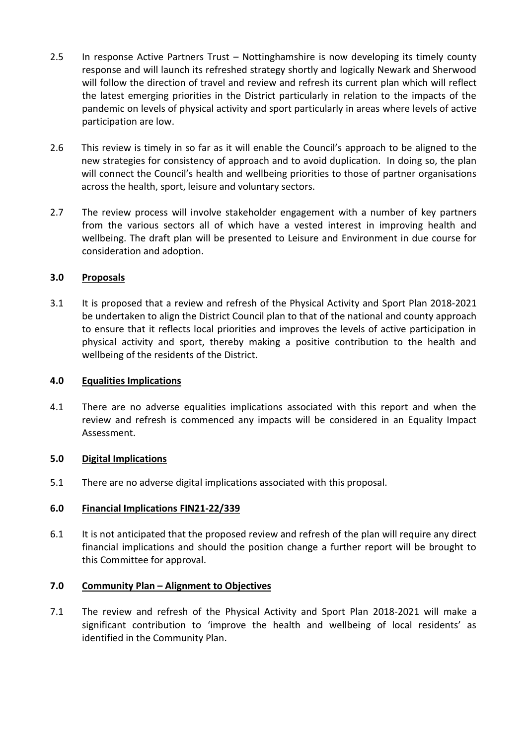- 2.5 In response Active Partners Trust Nottinghamshire is now developing its timely county response and will launch its refreshed strategy shortly and logically Newark and Sherwood will follow the direction of travel and review and refresh its current plan which will reflect the latest emerging priorities in the District particularly in relation to the impacts of the pandemic on levels of physical activity and sport particularly in areas where levels of active participation are low.
- 2.6 This review is timely in so far as it will enable the Council's approach to be aligned to the new strategies for consistency of approach and to avoid duplication. In doing so, the plan will connect the Council's health and wellbeing priorities to those of partner organisations across the health, sport, leisure and voluntary sectors.
- 2.7 The review process will involve stakeholder engagement with a number of key partners from the various sectors all of which have a vested interest in improving health and wellbeing. The draft plan will be presented to Leisure and Environment in due course for consideration and adoption.

## **3.0 Proposals**

3.1 It is proposed that a review and refresh of the Physical Activity and Sport Plan 2018-2021 be undertaken to align the District Council plan to that of the national and county approach to ensure that it reflects local priorities and improves the levels of active participation in physical activity and sport, thereby making a positive contribution to the health and wellbeing of the residents of the District.

#### **4.0 Equalities Implications**

4.1 There are no adverse equalities implications associated with this report and when the review and refresh is commenced any impacts will be considered in an Equality Impact Assessment.

#### **5.0 Digital Implications**

5.1 There are no adverse digital implications associated with this proposal.

#### **6.0 Financial Implications FIN21-22/339**

6.1 It is not anticipated that the proposed review and refresh of the plan will require any direct financial implications and should the position change a further report will be brought to this Committee for approval.

#### **7.0 Community Plan – Alignment to Objectives**

7.1 The review and refresh of the Physical Activity and Sport Plan 2018-2021 will make a significant contribution to 'improve the health and wellbeing of local residents' as identified in the Community Plan.